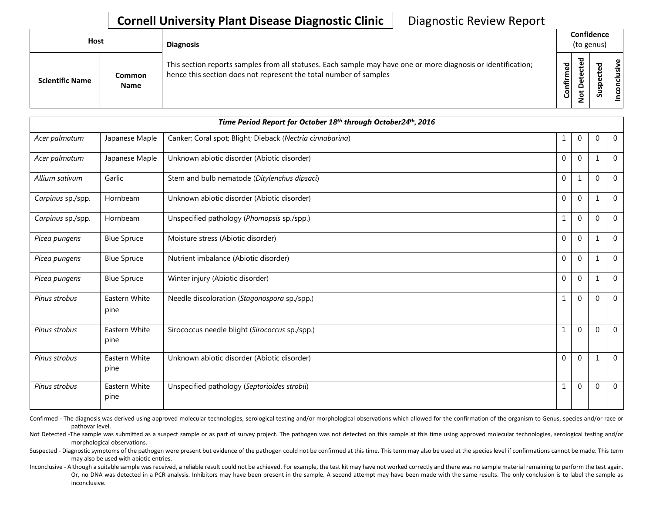## **Cornell University Plant Disease Diagnostic Clinic** | Diagnostic Review Report

| Host |                        |                       | <b>Diagnosis</b>                                                                                                                                                                   |                          | Confidence<br>(to genus) |                         |                       |  |  |
|------|------------------------|-----------------------|------------------------------------------------------------------------------------------------------------------------------------------------------------------------------------|--------------------------|--------------------------|-------------------------|-----------------------|--|--|
|      | <b>Scientific Name</b> | Common<br><b>Name</b> | This section reports samples from all statuses. Each sample may have one or more diagnosis or identification;<br>hence this section does not represent the total number of samples | ᄝ<br>ηËΓ<br>$\circ$<br>ပ | ≖<br>ω                   | ъ<br>ω<br>으<br><b>S</b> | $\omega$<br>usiv<br>S |  |  |

| Time Period Report for October 18th through October24th, 2016 |                       |                                                           |  |              |              |              |                |
|---------------------------------------------------------------|-----------------------|-----------------------------------------------------------|--|--------------|--------------|--------------|----------------|
| Acer palmatum                                                 | Japanese Maple        | Canker; Coral spot; Blight; Dieback (Nectria cinnabarina) |  | 1            | $\mathbf{0}$ | $\Omega$     | $\mathbf 0$    |
| Acer palmatum                                                 | Japanese Maple        | Unknown abiotic disorder (Abiotic disorder)               |  | $\Omega$     | $\Omega$     | $\mathbf{1}$ | $\mathbf 0$    |
| Allium sativum                                                | Garlic                | Stem and bulb nematode (Ditylenchus dipsaci)              |  | $\Omega$     | $\mathbf{1}$ | $\Omega$     | $\overline{0}$ |
| Carpinus sp./spp.                                             | Hornbeam              | Unknown abiotic disorder (Abiotic disorder)               |  | $\mathbf 0$  | $\mathbf 0$  | $\mathbf 1$  | $\mathbf 0$    |
| Carpinus sp./spp.                                             | Hornbeam              | Unspecified pathology (Phomopsis sp./spp.)                |  | $\mathbf{1}$ | $\mathbf 0$  | $\mathbf 0$  | $\mathbf 0$    |
| Picea pungens                                                 | <b>Blue Spruce</b>    | Moisture stress (Abiotic disorder)                        |  | $\mathbf 0$  | $\mathbf 0$  | $\mathbf{1}$ | $\mathbf 0$    |
| Picea pungens                                                 | <b>Blue Spruce</b>    | Nutrient imbalance (Abiotic disorder)                     |  | $\mathbf 0$  | $\mathbf 0$  | 1            | $\mathbf 0$    |
| Picea pungens                                                 | <b>Blue Spruce</b>    | Winter injury (Abiotic disorder)                          |  | $\mathbf 0$  | $\mathbf 0$  | $\mathbf 1$  | $\mathbf 0$    |
| Pinus strobus                                                 | Eastern White<br>pine | Needle discoloration (Stagonospora sp./spp.)              |  | $\mathbf{1}$ | $\Omega$     | $\Omega$     | $\mathbf 0$    |
| Pinus strobus                                                 | Eastern White<br>pine | Sirococcus needle blight (Sirococcus sp./spp.)            |  | $\mathbf{1}$ | $\mathbf 0$  | $\mathbf{0}$ | $\mathbf 0$    |
| Pinus strobus                                                 | Eastern White<br>pine | Unknown abiotic disorder (Abiotic disorder)               |  | $\Omega$     | $\mathbf{0}$ | 1            | $\Omega$       |
| Pinus strobus                                                 | Eastern White<br>pine | Unspecified pathology (Septorioides strobii)              |  | $\mathbf 1$  | $\mathbf 0$  | 0            | $\overline{0}$ |

Confirmed - The diagnosis was derived using approved molecular technologies, serological testing and/or morphological observations which allowed for the confirmation of the organism to Genus, species and/or race or pathovar level.

Not Detected -The sample was submitted as a suspect sample or as part of survey project. The pathogen was not detected on this sample at this time using approved molecular technologies, serological testing and/or morphological observations.

Suspected - Diagnostic symptoms of the pathogen were present but evidence of the pathogen could not be confirmed at this time. This term may also be used at the species level if confirmations cannot be made. This term may also be used with abiotic entries.

Inconclusive - Although a suitable sample was received, a reliable result could not be achieved. For example, the test kit may have not worked correctly and there was no sample material remaining to perform the test again. Or, no DNA was detected in a PCR analysis. Inhibitors may have been present in the sample. A second attempt may have been made with the same results. The only conclusion is to label the sample as inconclusive.